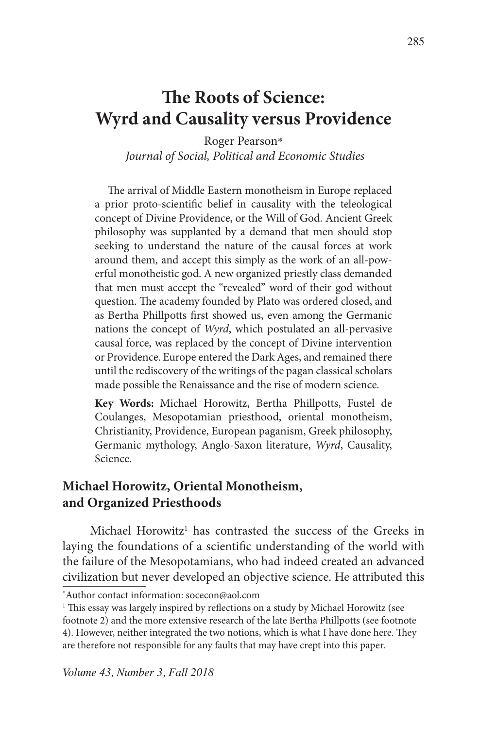# **The Roots of Science: Wyrd and Causality versus Providence**

Roger Pearson\*  *Journal of Social, Political and Economic Studies*

The arrival of Middle Eastern monotheism in Europe replaced a prior proto-scientific belief in causality with the teleological concept of Divine Providence, or the Will of God. Ancient Greek philosophy was supplanted by a demand that men should stop seeking to understand the nature of the causal forces at work around them, and accept this simply as the work of an all-powerful monotheistic god. A new organized priestly class demanded that men must accept the "revealed" word of their god without question. The academy founded by Plato was ordered closed, and as Bertha Phillpotts first showed us, even among the Germanic nations the concept of *Wyrd*, which postulated an all-pervasive causal force, was replaced by the concept of Divine intervention or Providence. Europe entered the Dark Ages, and remained there until the rediscovery of the writings of the pagan classical scholars made possible the Renaissance and the rise of modern science.

**Key Words:** Michael Horowitz, Bertha Phillpotts, Fustel de Coulanges, Mesopotamian priesthood, oriental monotheism, Christianity, Providence, European paganism, Greek philosophy, Germanic mythology, Anglo-Saxon literature, *Wyrd*, Causality, Science.

### **Michael Horowitz, Oriental Monotheism, and Organized Priesthoods**

Michael Horowitz<sup>1</sup> has contrasted the success of the Greeks in laying the foundations of a scientific understanding of the world with the failure of the Mesopotamians, who had indeed created an advanced civilization but never developed an objective science. He attributed this

<sup>\*</sup> Author contact information: socecon@aol.com

<sup>1</sup> This essay was largely inspired by reflections on a study by Michael Horowitz (see footnote 2) and the more extensive research of the late Bertha Phillpotts (see footnote 4). However, neither integrated the two notions, which is what I have done here. They are therefore not responsible for any faults that may have crept into this paper.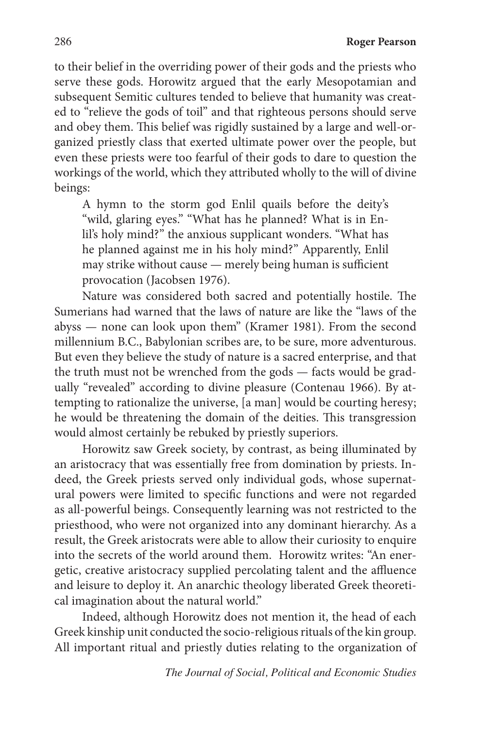to their belief in the overriding power of their gods and the priests who serve these gods. Horowitz argued that the early Mesopotamian and subsequent Semitic cultures tended to believe that humanity was created to "relieve the gods of toil" and that righteous persons should serve and obey them. This belief was rigidly sustained by a large and well-organized priestly class that exerted ultimate power over the people, but even these priests were too fearful of their gods to dare to question the workings of the world, which they attributed wholly to the will of divine beings:

A hymn to the storm god Enlil quails before the deity's "wild, glaring eyes." "What has he planned? What is in Enlil's holy mind?" the anxious supplicant wonders. "What has he planned against me in his holy mind?" Apparently, Enlil may strike without cause — merely being human is sufficient provocation (Jacobsen 1976).

Nature was considered both sacred and potentially hostile. The Sumerians had warned that the laws of nature are like the "laws of the abyss — none can look upon them" (Kramer 1981). From the second millennium B.C., Babylonian scribes are, to be sure, more adventurous. But even they believe the study of nature is a sacred enterprise, and that the truth must not be wrenched from the gods — facts would be gradually "revealed" according to divine pleasure (Contenau 1966). By attempting to rationalize the universe, [a man] would be courting heresy; he would be threatening the domain of the deities. This transgression would almost certainly be rebuked by priestly superiors.

Horowitz saw Greek society, by contrast, as being illuminated by an aristocracy that was essentially free from domination by priests. Indeed, the Greek priests served only individual gods, whose supernatural powers were limited to specific functions and were not regarded as all-powerful beings. Consequently learning was not restricted to the priesthood, who were not organized into any dominant hierarchy. As a result, the Greek aristocrats were able to allow their curiosity to enquire into the secrets of the world around them. Horowitz writes: "An energetic, creative aristocracy supplied percolating talent and the affluence and leisure to deploy it. An anarchic theology liberated Greek theoretical imagination about the natural world."

Indeed, although Horowitz does not mention it, the head of each Greek kinship unit conducted the socio-religious rituals of the kin group. All important ritual and priestly duties relating to the organization of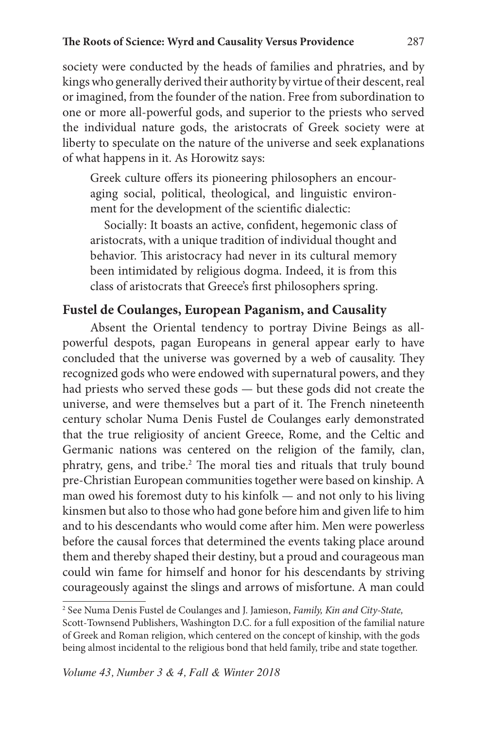society were conducted by the heads of families and phratries, and by kings who generally derived their authority by virtue of their descent, real or imagined, from the founder of the nation. Free from subordination to one or more all-powerful gods, and superior to the priests who served the individual nature gods, the aristocrats of Greek society were at liberty to speculate on the nature of the universe and seek explanations of what happens in it. As Horowitz says:

Greek culture offers its pioneering philosophers an encouraging social, political, theological, and linguistic environment for the development of the scientific dialectic:

Socially: It boasts an active, confident, hegemonic class of aristocrats, with a unique tradition of individual thought and behavior. This aristocracy had never in its cultural memory been intimidated by religious dogma. Indeed, it is from this class of aristocrats that Greece's first philosophers spring.

### **Fustel de Coulanges, European Paganism, and Causality**

Absent the Oriental tendency to portray Divine Beings as allpowerful despots, pagan Europeans in general appear early to have concluded that the universe was governed by a web of causality. They recognized gods who were endowed with supernatural powers, and they had priests who served these gods — but these gods did not create the universe, and were themselves but a part of it. The French nineteenth century scholar Numa Denis Fustel de Coulanges early demonstrated that the true religiosity of ancient Greece, Rome, and the Celtic and Germanic nations was centered on the religion of the family, clan, phratry, gens, and tribe.<sup>2</sup> The moral ties and rituals that truly bound pre-Christian European communities together were based on kinship. A man owed his foremost duty to his kinfolk — and not only to his living kinsmen but also to those who had gone before him and given life to him and to his descendants who would come after him. Men were powerless before the causal forces that determined the events taking place around them and thereby shaped their destiny, but a proud and courageous man could win fame for himself and honor for his descendants by striving courageously against the slings and arrows of misfortune. A man could

<sup>2</sup> See Numa Denis Fustel de Coulanges and J. Jamieson, *Family, Kin and City-State,* Scott-Townsend Publishers, Washington D.C. for a full exposition of the familial nature of Greek and Roman religion, which centered on the concept of kinship, with the gods being almost incidental to the religious bond that held family, tribe and state together.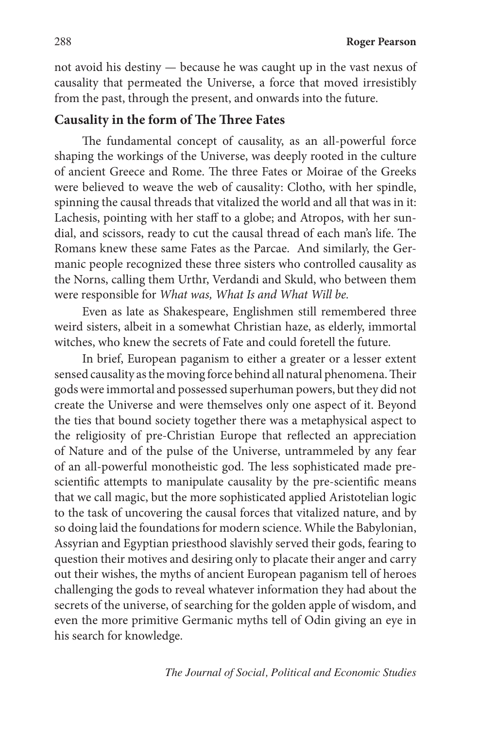not avoid his destiny — because he was caught up in the vast nexus of causality that permeated the Universe, a force that moved irresistibly from the past, through the present, and onwards into the future.

#### **Causality in the form of The Three Fates**

The fundamental concept of causality, as an all-powerful force shaping the workings of the Universe, was deeply rooted in the culture of ancient Greece and Rome. The three Fates or Moirae of the Greeks were believed to weave the web of causality: Clotho, with her spindle, spinning the causal threads that vitalized the world and all that was in it: Lachesis, pointing with her staff to a globe; and Atropos, with her sundial, and scissors, ready to cut the causal thread of each man's life. The Romans knew these same Fates as the Parcae. And similarly, the Germanic people recognized these three sisters who controlled causality as the Norns, calling them Urthr, Verdandi and Skuld, who between them were responsible for *What was, What Is and What Will be.*

Even as late as Shakespeare, Englishmen still remembered three weird sisters, albeit in a somewhat Christian haze, as elderly, immortal witches, who knew the secrets of Fate and could foretell the future.

In brief, European paganism to either a greater or a lesser extent sensed causality as the moving force behind all natural phenomena. Their gods were immortal and possessed superhuman powers, but they did not create the Universe and were themselves only one aspect of it. Beyond the ties that bound society together there was a metaphysical aspect to the religiosity of pre-Christian Europe that reflected an appreciation of Nature and of the pulse of the Universe, untrammeled by any fear of an all-powerful monotheistic god. The less sophisticated made prescientific attempts to manipulate causality by the pre-scientific means that we call magic, but the more sophisticated applied Aristotelian logic to the task of uncovering the causal forces that vitalized nature, and by so doing laid the foundations for modern science. While the Babylonian, Assyrian and Egyptian priesthood slavishly served their gods, fearing to question their motives and desiring only to placate their anger and carry out their wishes, the myths of ancient European paganism tell of heroes challenging the gods to reveal whatever information they had about the secrets of the universe, of searching for the golden apple of wisdom, and even the more primitive Germanic myths tell of Odin giving an eye in his search for knowledge.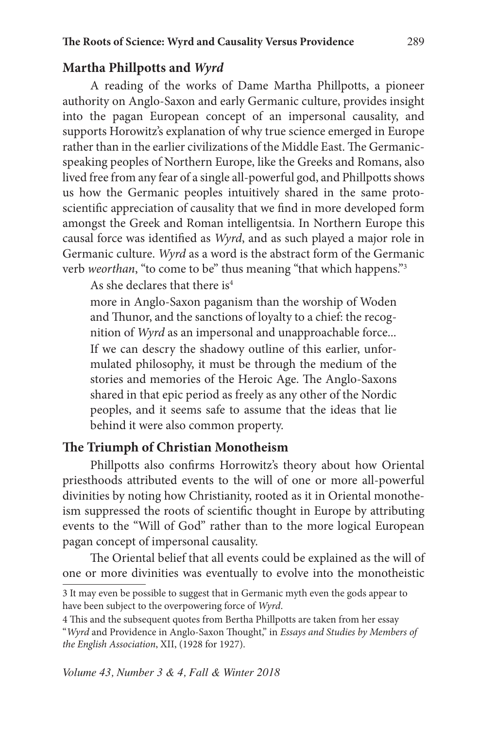### **Martha Phillpotts and** *Wyrd*

A reading of the works of Dame Martha Phillpotts, a pioneer authority on Anglo-Saxon and early Germanic culture, provides insight into the pagan European concept of an impersonal causality, and supports Horowitz's explanation of why true science emerged in Europe rather than in the earlier civilizations of the Middle East. The Germanicspeaking peoples of Northern Europe, like the Greeks and Romans, also lived free from any fear of a single all-powerful god, and Phillpotts shows us how the Germanic peoples intuitively shared in the same protoscientific appreciation of causality that we find in more developed form amongst the Greek and Roman intelligentsia. In Northern Europe this causal force was identified as *Wyrd*, and as such played a major role in Germanic culture. *Wyrd* as a word is the abstract form of the Germanic verb *weorthan*, "to come to be" thus meaning "that which happens."3

As she declares that there is $4$ 

more in Anglo-Saxon paganism than the worship of Woden and Thunor, and the sanctions of loyalty to a chief: the recognition of *Wyrd* as an impersonal and unapproachable force... If we can descry the shadowy outline of this earlier, unformulated philosophy, it must be through the medium of the stories and memories of the Heroic Age. The Anglo-Saxons shared in that epic period as freely as any other of the Nordic peoples, and it seems safe to assume that the ideas that lie behind it were also common property.

## **The Triumph of Christian Monotheism**

Phillpotts also confirms Horrowitz's theory about how Oriental priesthoods attributed events to the will of one or more all-powerful divinities by noting how Christianity, rooted as it in Oriental monotheism suppressed the roots of scientific thought in Europe by attributing events to the "Will of God" rather than to the more logical European pagan concept of impersonal causality.

The Oriental belief that all events could be explained as the will of one or more divinities was eventually to evolve into the monotheistic

<sup>3</sup> It may even be possible to suggest that in Germanic myth even the gods appear to have been subject to the overpowering force of *Wyrd*.

<sup>4</sup> This and the subsequent quotes from Bertha Phillpotts are taken from her essay

<sup>&</sup>quot;*Wyrd* and Providence in Anglo-Saxon Thought," in *Essays and Studies by Members of the English Association*, XII, (1928 for 1927).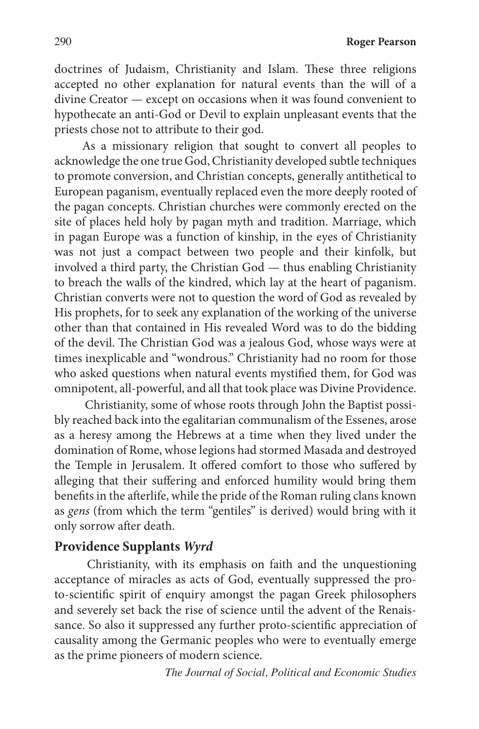290 **Roger Pearson**

doctrines of Judaism, Christianity and Islam. These three religions accepted no other explanation for natural events than the will of a divine Creator — except on occasions when it was found convenient to hypothecate an anti-God or Devil to explain unpleasant events that the priests chose not to attribute to their god.

As a missionary religion that sought to convert all peoples to acknowledge the one true God, Christianity developed subtle techniques to promote conversion, and Christian concepts, generally antithetical to European paganism, eventually replaced even the more deeply rooted of the pagan concepts. Christian churches were commonly erected on the site of places held holy by pagan myth and tradition. Marriage, which in pagan Europe was a function of kinship, in the eyes of Christianity was not just a compact between two people and their kinfolk, but involved a third party, the Christian God — thus enabling Christianity to breach the walls of the kindred, which lay at the heart of paganism. Christian converts were not to question the word of God as revealed by His prophets, for to seek any explanation of the working of the universe other than that contained in His revealed Word was to do the bidding of the devil. The Christian God was a jealous God, whose ways were at times inexplicable and "wondrous." Christianity had no room for those who asked questions when natural events mystified them, for God was omnipotent, all-powerful, and all that took place was Divine Providence.

 Christianity, some of whose roots through John the Baptist possibly reached back into the egalitarian communalism of the Essenes, arose as a heresy among the Hebrews at a time when they lived under the domination of Rome, whose legions had stormed Masada and destroyed the Temple in Jerusalem. It offered comfort to those who suffered by alleging that their suffering and enforced humility would bring them benefits in the afterlife, while the pride of the Roman ruling clans known as *gens* (from which the term "gentiles" is derived) would bring with it only sorrow after death.

#### **Providence Supplants** *Wyrd*

Christianity, with its emphasis on faith and the unquestioning acceptance of miracles as acts of God, eventually suppressed the proto-scientific spirit of enquiry amongst the pagan Greek philosophers and severely set back the rise of science until the advent of the Renaissance. So also it suppressed any further proto-scientific appreciation of causality among the Germanic peoples who were to eventually emerge as the prime pioneers of modern science.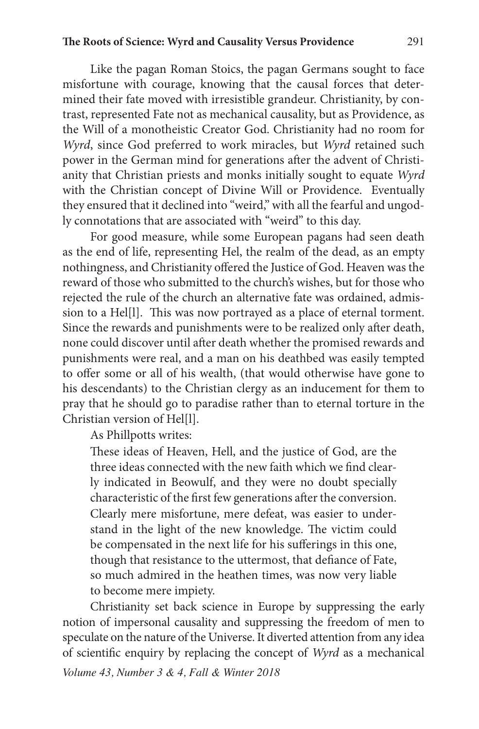#### **The Roots of Science: Wyrd and Causality Versus Providence** 291

Like the pagan Roman Stoics, the pagan Germans sought to face misfortune with courage, knowing that the causal forces that determined their fate moved with irresistible grandeur. Christianity, by contrast, represented Fate not as mechanical causality, but as Providence, as the Will of a monotheistic Creator God. Christianity had no room for *Wyrd*, since God preferred to work miracles, but *Wyrd* retained such power in the German mind for generations after the advent of Christianity that Christian priests and monks initially sought to equate *Wyrd* with the Christian concept of Divine Will or Providence. Eventually they ensured that it declined into "weird," with all the fearful and ungodly connotations that are associated with "weird" to this day.

For good measure, while some European pagans had seen death as the end of life, representing Hel, the realm of the dead, as an empty nothingness, and Christianity offered the Justice of God. Heaven was the reward of those who submitted to the church's wishes, but for those who rejected the rule of the church an alternative fate was ordained, admission to a Hel[l]. This was now portrayed as a place of eternal torment. Since the rewards and punishments were to be realized only after death, none could discover until after death whether the promised rewards and punishments were real, and a man on his deathbed was easily tempted to offer some or all of his wealth, (that would otherwise have gone to his descendants) to the Christian clergy as an inducement for them to pray that he should go to paradise rather than to eternal torture in the Christian version of Hel[l].

As Phillpotts writes:

These ideas of Heaven, Hell, and the justice of God, are the three ideas connected with the new faith which we find clearly indicated in Beowulf, and they were no doubt specially characteristic of the first few generations after the conversion. Clearly mere misfortune, mere defeat, was easier to understand in the light of the new knowledge. The victim could be compensated in the next life for his sufferings in this one, though that resistance to the uttermost, that defiance of Fate, so much admired in the heathen times, was now very liable to become mere impiety.

*Volume 43, Number 3 & 4, Fall & Winter 2018* Christianity set back science in Europe by suppressing the early notion of impersonal causality and suppressing the freedom of men to speculate on the nature of the Universe. It diverted attention from any idea of scientific enquiry by replacing the concept of *Wyrd* as a mechanical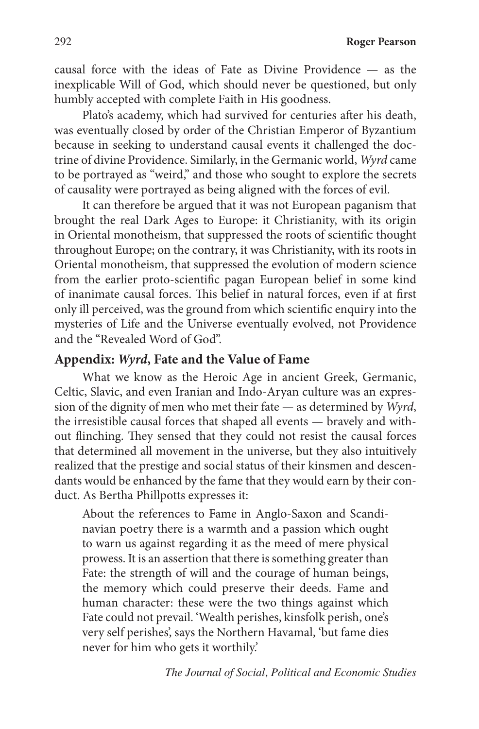292 **Roger Pearson**

causal force with the ideas of Fate as Divine Providence — as the inexplicable Will of God, which should never be questioned, but only humbly accepted with complete Faith in His goodness.

Plato's academy, which had survived for centuries after his death, was eventually closed by order of the Christian Emperor of Byzantium because in seeking to understand causal events it challenged the doctrine of divine Providence. Similarly, in the Germanic world, *Wyrd* came to be portrayed as "weird," and those who sought to explore the secrets of causality were portrayed as being aligned with the forces of evil.

It can therefore be argued that it was not European paganism that brought the real Dark Ages to Europe: it Christianity, with its origin in Oriental monotheism, that suppressed the roots of scientific thought throughout Europe; on the contrary, it was Christianity, with its roots in Oriental monotheism, that suppressed the evolution of modern science from the earlier proto-scientific pagan European belief in some kind of inanimate causal forces. This belief in natural forces, even if at first only ill perceived, was the ground from which scientific enquiry into the mysteries of Life and the Universe eventually evolved, not Providence and the "Revealed Word of God".

#### **Appendix:** *Wyrd***, Fate and the Value of Fame**

What we know as the Heroic Age in ancient Greek, Germanic, Celtic, Slavic, and even Iranian and Indo-Aryan culture was an expression of the dignity of men who met their fate — as determined by *Wyrd*, the irresistible causal forces that shaped all events — bravely and without flinching. They sensed that they could not resist the causal forces that determined all movement in the universe, but they also intuitively realized that the prestige and social status of their kinsmen and descendants would be enhanced by the fame that they would earn by their conduct. As Bertha Phillpotts expresses it:

About the references to Fame in Anglo-Saxon and Scandinavian poetry there is a warmth and a passion which ought to warn us against regarding it as the meed of mere physical prowess. It is an assertion that there is something greater than Fate: the strength of will and the courage of human beings, the memory which could preserve their deeds. Fame and human character: these were the two things against which Fate could not prevail. 'Wealth perishes, kinsfolk perish, one's very self perishes', says the Northern Havamal, 'but fame dies never for him who gets it worthily.'